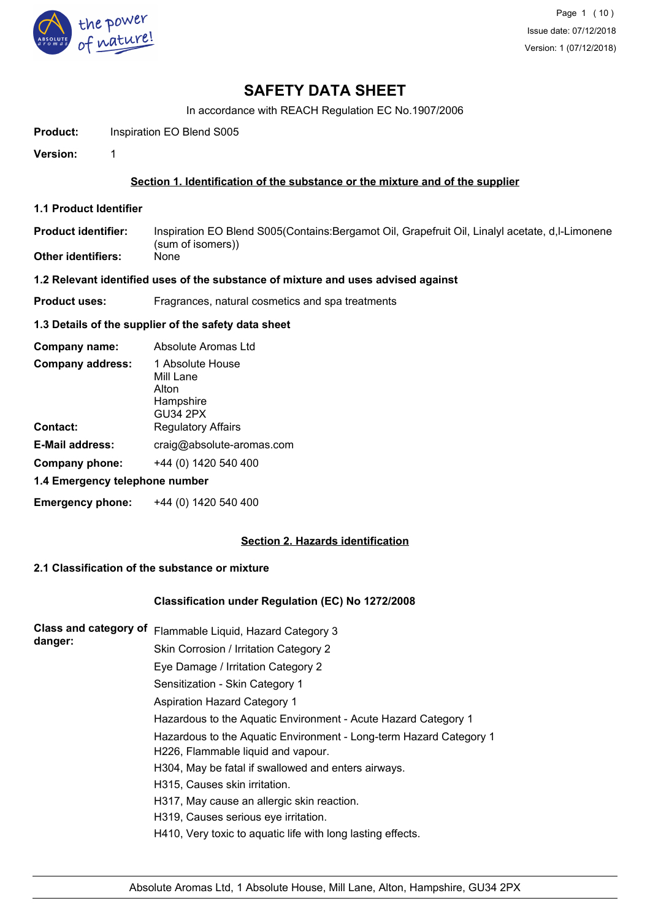

In accordance with REACH Regulation EC No.1907/2006

**Product:** Inspiration EO Blend S005

**Version:** 1

## **Section 1. Identification of the substance or the mixture and of the supplier**

**1.1 Product Identifier**

Inspiration EO Blend S005(Contains:Bergamot Oil, Grapefruit Oil, Linalyl acetate, d,l-Limonene (sum of isomers)) **Product identifier:**

**Other identifiers:** 

### **1.2 Relevant identified uses of the substance of mixture and uses advised against**

**Product uses:** Fragrances, natural cosmetics and spa treatments

### **1.3 Details of the supplier of the safety data sheet**

| Company name:                  | Absolute Aromas Ltd                                                    |
|--------------------------------|------------------------------------------------------------------------|
| <b>Company address:</b>        | 1 Absolute House<br>Mill Lane<br>Alton<br>Hampshire<br><b>GU34 2PX</b> |
| Contact:                       | <b>Regulatory Affairs</b>                                              |
| <b>E-Mail address:</b>         | craig@absolute-aromas.com                                              |
| Company phone:                 | +44 (0) 1420 540 400                                                   |
| 1.4 Emergency telephone number |                                                                        |
| <b>Emergency phone:</b>        | +44 (0) 1420 540 400                                                   |

# **Section 2. Hazards identification**

### **2.1 Classification of the substance or mixture**

# **Classification under Regulation (EC) No 1272/2008**

| <b>Class and category of</b> | Flammable Liquid, Hazard Category 3                                |
|------------------------------|--------------------------------------------------------------------|
| danger:                      | Skin Corrosion / Irritation Category 2                             |
|                              | Eye Damage / Irritation Category 2                                 |
|                              | Sensitization - Skin Category 1                                    |
|                              | <b>Aspiration Hazard Category 1</b>                                |
|                              | Hazardous to the Aquatic Environment - Acute Hazard Category 1     |
|                              | Hazardous to the Aquatic Environment - Long-term Hazard Category 1 |
|                              | H226, Flammable liquid and vapour.                                 |
|                              | H304, May be fatal if swallowed and enters airways.                |
|                              | H315, Causes skin irritation.                                      |
|                              | H317, May cause an allergic skin reaction.                         |
|                              | H319, Causes serious eye irritation.                               |
|                              | H410, Very toxic to aquatic life with long lasting effects.        |
|                              |                                                                    |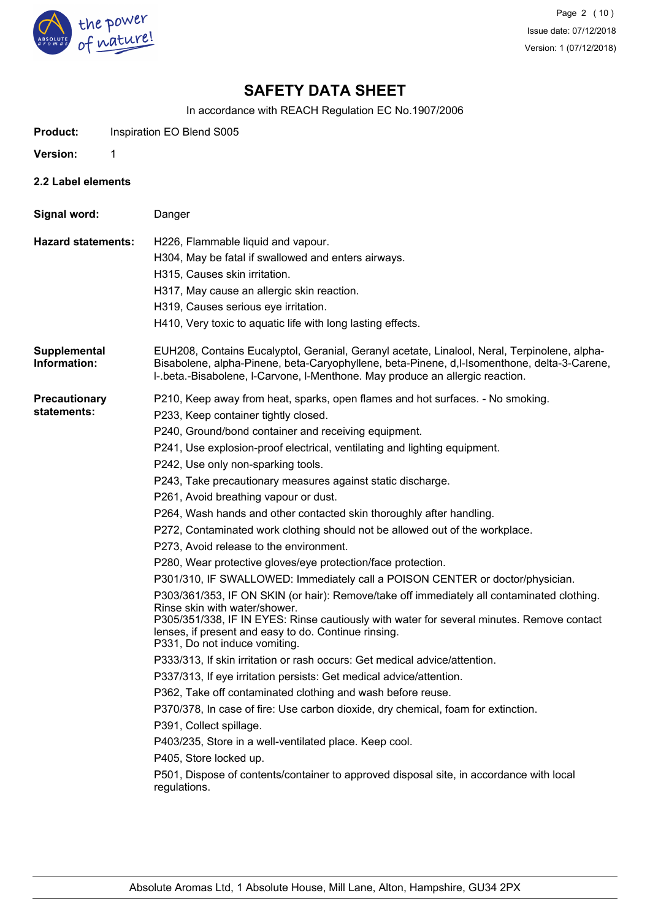

In accordance with REACH Regulation EC No.1907/2006

**Product:** Inspiration EO Blend S005

**Version:** 1

**2.2 Label elements**

**Signal word:** Danger **Hazard statements:** H226, Flammable liquid and vapour. H304, May be fatal if swallowed and enters airways. H315, Causes skin irritation. H317, May cause an allergic skin reaction. H319, Causes serious eye irritation. H410, Very toxic to aquatic life with long lasting effects. EUH208, Contains Eucalyptol, Geranial, Geranyl acetate, Linalool, Neral, Terpinolene, alpha-Bisabolene, alpha-Pinene, beta-Caryophyllene, beta-Pinene, d,l-Isomenthone, delta-3-Carene, l-.beta.-Bisabolene, l-Carvone, l-Menthone. May produce an allergic reaction. **Supplemental Information: Precautionary statements:** P210, Keep away from heat, sparks, open flames and hot surfaces. - No smoking. P233, Keep container tightly closed. P240, Ground/bond container and receiving equipment. P241, Use explosion-proof electrical, ventilating and lighting equipment. P242, Use only non-sparking tools. P243, Take precautionary measures against static discharge. P261, Avoid breathing vapour or dust. P264, Wash hands and other contacted skin thoroughly after handling. P272, Contaminated work clothing should not be allowed out of the workplace. P273, Avoid release to the environment. P280, Wear protective gloves/eye protection/face protection. P301/310, IF SWALLOWED: Immediately call a POISON CENTER or doctor/physician. P303/361/353, IF ON SKIN (or hair): Remove/take off immediately all contaminated clothing. Rinse skin with water/shower. P305/351/338, IF IN EYES: Rinse cautiously with water for several minutes. Remove contact lenses, if present and easy to do. Continue rinsing. P331, Do not induce vomiting. P333/313, If skin irritation or rash occurs: Get medical advice/attention. P337/313, If eye irritation persists: Get medical advice/attention. P362, Take off contaminated clothing and wash before reuse. P370/378, In case of fire: Use carbon dioxide, dry chemical, foam for extinction. P391, Collect spillage. P403/235, Store in a well-ventilated place. Keep cool. P405, Store locked up. P501, Dispose of contents/container to approved disposal site, in accordance with local regulations.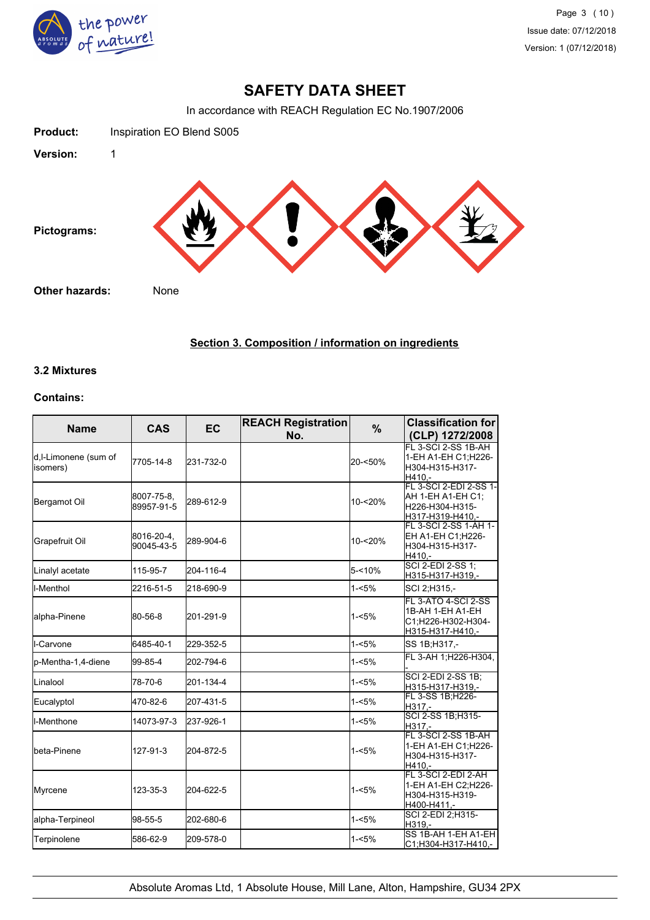

In accordance with REACH Regulation EC No.1907/2006



# **Section 3. Composition / information on ingredients**

### **3.2 Mixtures**

## **Contains:**

| <b>Name</b>                       | <b>CAS</b>               | <b>EC</b> | <b>REACH Registration</b><br>No. | $\%$      | <b>Classification for</b><br>(CLP) 1272/2008                                       |
|-----------------------------------|--------------------------|-----------|----------------------------------|-----------|------------------------------------------------------------------------------------|
| d, I-Limonene (sum of<br>isomers) | 7705-14-8                | 231-732-0 |                                  | 20-<50%   | FL 3-SCI 2-SS 1B-AH<br>1-EH A1-EH C1; H226-<br>H304-H315-H317-<br>H410.-           |
| Bergamot Oil                      | 8007-75-8,<br>89957-91-5 | 289-612-9 |                                  | 10-<20%   | FL 3-SCI 2-EDI 2-SS 1-<br>AH 1-EH A1-EH C1:<br>H226-H304-H315-<br>H317-H319-H410,- |
| Grapefruit Oil                    | 8016-20-4,<br>90045-43-5 | 289-904-6 |                                  | 10-<20%   | FL 3-SCI 2-SS 1-AH 1-<br>EH A1-EH C1;H226-<br>H304-H315-H317-<br>H410,-            |
| Linalyl acetate                   | 115-95-7                 | 204-116-4 |                                  | $5 - 10%$ | SCI 2-EDI 2-SS 1;<br>H315-H317-H319,-                                              |
| I-Menthol                         | 2216-51-5                | 218-690-9 |                                  | $1 - 5%$  | SCI 2;H315,-                                                                       |
| alpha-Pinene                      | 80-56-8                  | 201-291-9 |                                  | $1 - 5%$  | FL 3-ATO 4-SCI 2-SS<br>1B-AH 1-EH A1-EH<br>C1:H226-H302-H304-<br>H315-H317-H410,-  |
| ll-Carvone                        | 6485-40-1                | 229-352-5 |                                  | $1 - 5%$  | SS 1B; H317,-                                                                      |
| p-Mentha-1,4-diene                | 99-85-4                  | 202-794-6 |                                  | $1 - 5%$  | FL 3-AH 1; H226-H304,                                                              |
| Linalool                          | 78-70-6                  | 201-134-4 |                                  | $1 - 5%$  | <b>SCI 2-EDI 2-SS 1B;</b><br>H315-H317-H319,-                                      |
| Eucalyptol                        | 470-82-6                 | 207-431-5 |                                  | $1 - 5%$  | FL 3-SS 1B;H226-<br>H317,-                                                         |
| <b>I</b> I-Menthone               | 14073-97-3               | 237-926-1 |                                  | $1 - 5%$  | SCI 2-SS 1B; H315-<br>H317.-                                                       |
| <b>I</b> beta-Pinene              | 127-91-3                 | 204-872-5 |                                  | $1 - 5%$  | FL 3-SCI 2-SS 1B-AH<br>1-EH A1-EH C1;H226-<br>H304-H315-H317-<br>H410.-            |
| Myrcene                           | 123-35-3                 | 204-622-5 |                                  | $1 - 5%$  | FL 3-SCI 2-EDI 2-AH<br>1-EH A1-EH C2;H226-<br>H304-H315-H319-<br>H400-H411,-       |
| alpha-Terpineol                   | 98-55-5                  | 202-680-6 |                                  | $1 - 5%$  | SCI 2-EDI 2; H315-<br>H319.-                                                       |
| Terpinolene                       | 586-62-9                 | 209-578-0 |                                  | $1 - 5%$  | SS 1B-AH 1-EH A1-EH<br>C1;H304-H317-H410,-                                         |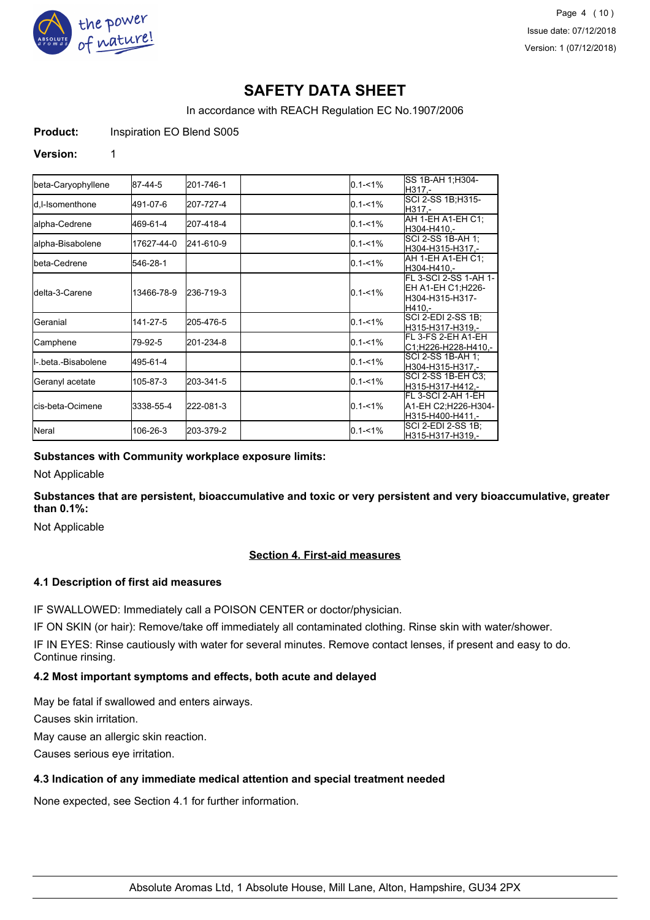

In accordance with REACH Regulation EC No.1907/2006

**Product:** Inspiration EO Blend S005

#### **Version:** 1

| beta-Caryophyllene        | 87-44-5    | 201-746-1 | $0.1 - 1\%$ | SS 1B-AH 1;H304-<br>H317.-                                               |
|---------------------------|------------|-----------|-------------|--------------------------------------------------------------------------|
| d.I-Isomenthone           | 491-07-6   | 207-727-4 | $0.1 - 1\%$ | SCI 2-SS 1B;H315-<br>IH317.-                                             |
| lalpha-Cedrene            | 469-61-4   | 207-418-4 | $0.1 - 1\%$ | AH 1-EH A1-EH C1:<br>H304-H410.-                                         |
| alpha-Bisabolene          | 17627-44-0 | 241-610-9 | $0.1 - 1\%$ | SCI 2-SS 1B-AH 1:<br>H304-H315-H317,-                                    |
| <b>I</b> beta-Cedrene     | 546-28-1   |           | $0.1 - 1\%$ | AH 1-EH A1-EH C1:<br>H304-H410.-                                         |
| <b>I</b> delta-3-Carene   | 13466-78-9 | 236-719-3 | $0.1 - 1\%$ | FL 3-SCI 2-SS 1-AH 1-<br>EH A1-EH C1;H226-<br>H304-H315-H317-<br>IH410.- |
| Geranial                  | 141-27-5   | 205-476-5 | $0.1 - 1\%$ | <b>SCI 2-EDI 2-SS 1B:</b><br>H315-H317-H319.-                            |
| Camphene                  | 79-92-5    | 201-234-8 | $0.1 - 1\%$ | IFL 3-FS 2-EH A1-EH<br>C1:H226-H228-H410.-                               |
| ll- beta -Bisabolene      | 495-61-4   |           | $0.1 - 1\%$ | SCI 2-SS 1B-AH 1:<br>lH304-H315-H317.-                                   |
| Geranyl acetate           | 105-87-3   | 203-341-5 | $0.1 - 1\%$ | SCI 2-SS 1B-EH C3;<br>H315-H317-H412.-                                   |
| <b>l</b> cis-beta-Ocimene | 3338-55-4  | 222-081-3 | $0.1 - 1\%$ | FL 3-SCI 2-AH 1-EH<br>A1-EH C2:H226-H304-<br>H315-H400-H411.-            |
| <b>I</b> Neral            | 106-26-3   | 203-379-2 | $0.1 - 1\%$ | SCI 2-EDI 2-SS 1B;<br>H315-H317-H319.-                                   |

### **Substances with Community workplace exposure limits:**

Not Applicable

**Substances that are persistent, bioaccumulative and toxic or very persistent and very bioaccumulative, greater than 0.1%:**

Not Applicable

### **Section 4. First-aid measures**

### **4.1 Description of first aid measures**

IF SWALLOWED: Immediately call a POISON CENTER or doctor/physician.

IF ON SKIN (or hair): Remove/take off immediately all contaminated clothing. Rinse skin with water/shower.

IF IN EYES: Rinse cautiously with water for several minutes. Remove contact lenses, if present and easy to do. Continue rinsing.

## **4.2 Most important symptoms and effects, both acute and delayed**

May be fatal if swallowed and enters airways.

Causes skin irritation.

May cause an allergic skin reaction.

Causes serious eye irritation.

### **4.3 Indication of any immediate medical attention and special treatment needed**

None expected, see Section 4.1 for further information.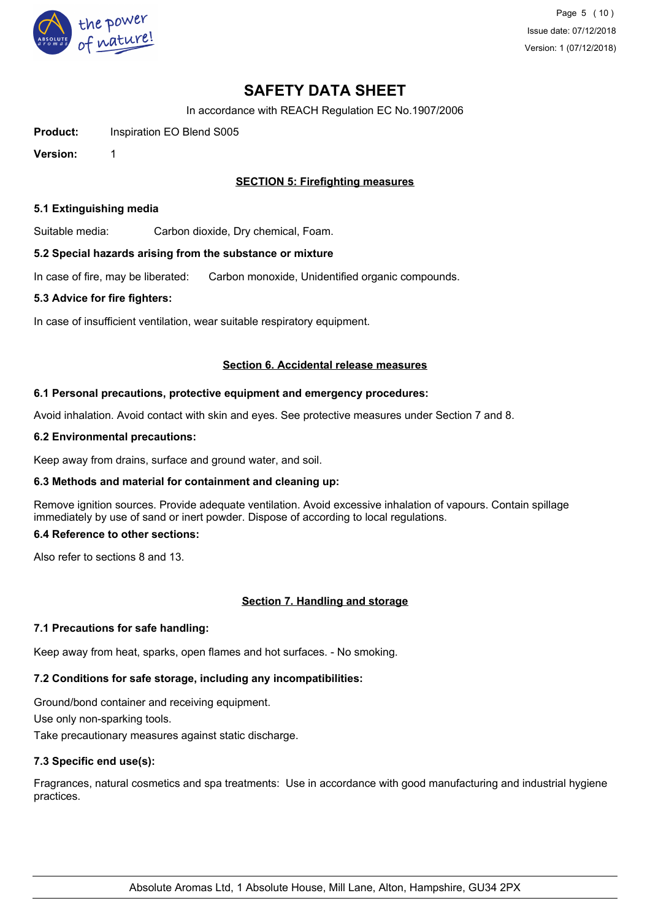

In accordance with REACH Regulation EC No.1907/2006

**Product:** Inspiration EO Blend S005

**Version:** 1

## **SECTION 5: Firefighting measures**

#### **5.1 Extinguishing media**

Suitable media: Carbon dioxide, Dry chemical, Foam.

#### **5.2 Special hazards arising from the substance or mixture**

In case of fire, may be liberated: Carbon monoxide, Unidentified organic compounds.

#### **5.3 Advice for fire fighters:**

In case of insufficient ventilation, wear suitable respiratory equipment.

#### **Section 6. Accidental release measures**

#### **6.1 Personal precautions, protective equipment and emergency procedures:**

Avoid inhalation. Avoid contact with skin and eyes. See protective measures under Section 7 and 8.

#### **6.2 Environmental precautions:**

Keep away from drains, surface and ground water, and soil.

### **6.3 Methods and material for containment and cleaning up:**

Remove ignition sources. Provide adequate ventilation. Avoid excessive inhalation of vapours. Contain spillage immediately by use of sand or inert powder. Dispose of according to local regulations.

## **6.4 Reference to other sections:**

Also refer to sections 8 and 13.

### **Section 7. Handling and storage**

### **7.1 Precautions for safe handling:**

Keep away from heat, sparks, open flames and hot surfaces. - No smoking.

# **7.2 Conditions for safe storage, including any incompatibilities:**

Ground/bond container and receiving equipment. Use only non-sparking tools. Take precautionary measures against static discharge.

# **7.3 Specific end use(s):**

Fragrances, natural cosmetics and spa treatments: Use in accordance with good manufacturing and industrial hygiene practices.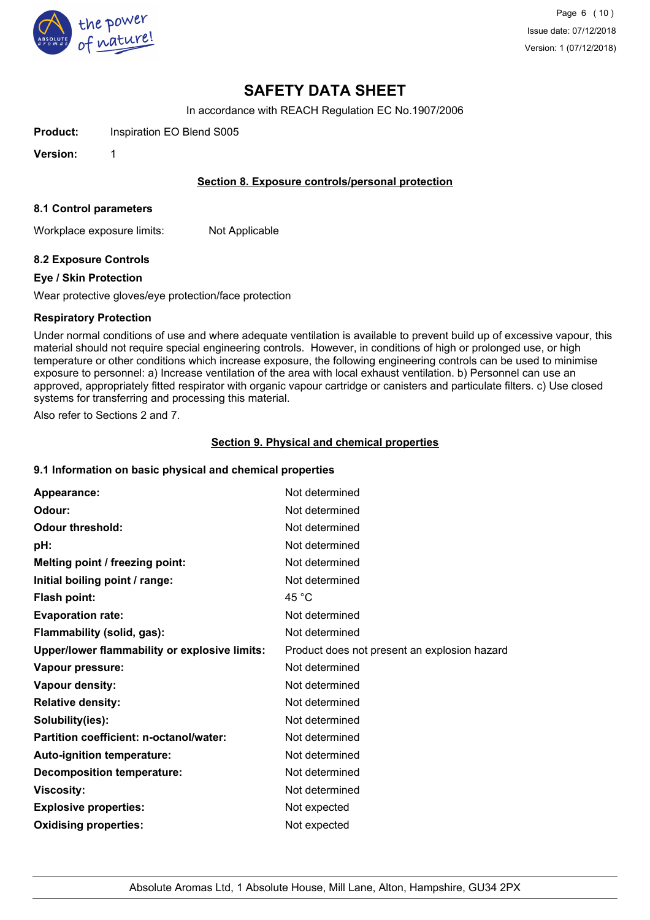

In accordance with REACH Regulation EC No.1907/2006

**Product:** Inspiration EO Blend S005

**Version:** 1

### **Section 8. Exposure controls/personal protection**

#### **8.1 Control parameters**

Workplace exposure limits: Not Applicable

### **8.2 Exposure Controls**

#### **Eye / Skin Protection**

Wear protective gloves/eye protection/face protection

#### **Respiratory Protection**

Under normal conditions of use and where adequate ventilation is available to prevent build up of excessive vapour, this material should not require special engineering controls. However, in conditions of high or prolonged use, or high temperature or other conditions which increase exposure, the following engineering controls can be used to minimise exposure to personnel: a) Increase ventilation of the area with local exhaust ventilation. b) Personnel can use an approved, appropriately fitted respirator with organic vapour cartridge or canisters and particulate filters. c) Use closed systems for transferring and processing this material.

Also refer to Sections 2 and 7.

#### **Section 9. Physical and chemical properties**

#### **9.1 Information on basic physical and chemical properties**

| Appearance:                                   | Not determined                               |
|-----------------------------------------------|----------------------------------------------|
| Odour:                                        | Not determined                               |
| <b>Odour threshold:</b>                       | Not determined                               |
| pH:                                           | Not determined                               |
| Melting point / freezing point:               | Not determined                               |
| Initial boiling point / range:                | Not determined                               |
| <b>Flash point:</b>                           | 45 $^{\circ}$ C                              |
| <b>Evaporation rate:</b>                      | Not determined                               |
| Flammability (solid, gas):                    | Not determined                               |
| Upper/lower flammability or explosive limits: | Product does not present an explosion hazard |
| Vapour pressure:                              | Not determined                               |
| Vapour density:                               | Not determined                               |
| <b>Relative density:</b>                      | Not determined                               |
| Solubility(ies):                              | Not determined                               |
| Partition coefficient: n-octanol/water:       | Not determined                               |
| Auto-ignition temperature:                    | Not determined                               |
| <b>Decomposition temperature:</b>             | Not determined                               |
| <b>Viscosity:</b>                             | Not determined                               |
| <b>Explosive properties:</b>                  | Not expected                                 |
| <b>Oxidising properties:</b>                  | Not expected                                 |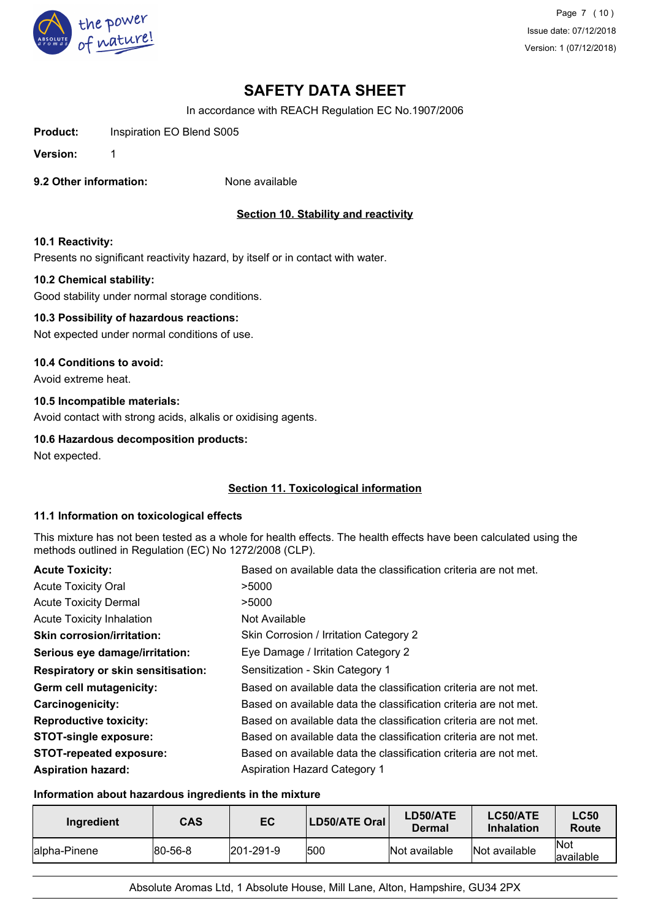

In accordance with REACH Regulation EC No.1907/2006

Product: Inspiration EO Blend S005

**Version:** 1

**9.2 Other information:** None available

# **Section 10. Stability and reactivity**

#### **10.1 Reactivity:**

Presents no significant reactivity hazard, by itself or in contact with water.

#### **10.2 Chemical stability:**

Good stability under normal storage conditions.

### **10.3 Possibility of hazardous reactions:**

Not expected under normal conditions of use.

#### **10.4 Conditions to avoid:**

Avoid extreme heat.

### **10.5 Incompatible materials:**

Avoid contact with strong acids, alkalis or oxidising agents.

## **10.6 Hazardous decomposition products:**

Not expected.

### **Section 11. Toxicological information**

### **11.1 Information on toxicological effects**

This mixture has not been tested as a whole for health effects. The health effects have been calculated using the methods outlined in Regulation (EC) No 1272/2008 (CLP).

| <b>Acute Toxicity:</b>                    | Based on available data the classification criteria are not met. |
|-------------------------------------------|------------------------------------------------------------------|
| <b>Acute Toxicity Oral</b>                | >5000                                                            |
| <b>Acute Toxicity Dermal</b>              | >5000                                                            |
| <b>Acute Toxicity Inhalation</b>          | Not Available                                                    |
| <b>Skin corrosion/irritation:</b>         | Skin Corrosion / Irritation Category 2                           |
| Serious eye damage/irritation:            | Eye Damage / Irritation Category 2                               |
| <b>Respiratory or skin sensitisation:</b> | Sensitization - Skin Category 1                                  |
| Germ cell mutagenicity:                   | Based on available data the classification criteria are not met. |
| <b>Carcinogenicity:</b>                   | Based on available data the classification criteria are not met. |
| <b>Reproductive toxicity:</b>             | Based on available data the classification criteria are not met. |
| <b>STOT-single exposure:</b>              | Based on available data the classification criteria are not met. |
| <b>STOT-repeated exposure:</b>            | Based on available data the classification criteria are not met. |
| <b>Aspiration hazard:</b>                 | <b>Aspiration Hazard Category 1</b>                              |

#### **Information about hazardous ingredients in the mixture**

| Ingredient    | <b>CAS</b>      | EC                | LD50/ATE Oral | LD50/ATE<br>Dermal | LC50/ATE<br><b>Inhalation</b> | <b>LC50</b><br><b>Route</b> |
|---------------|-----------------|-------------------|---------------|--------------------|-------------------------------|-----------------------------|
| lalpha-Pinene | $ 80 - 56 - 8 $ | $ 201 - 291 - 9 $ | 500           | Not available      | Not available                 | <b>Not</b><br>lavailable    |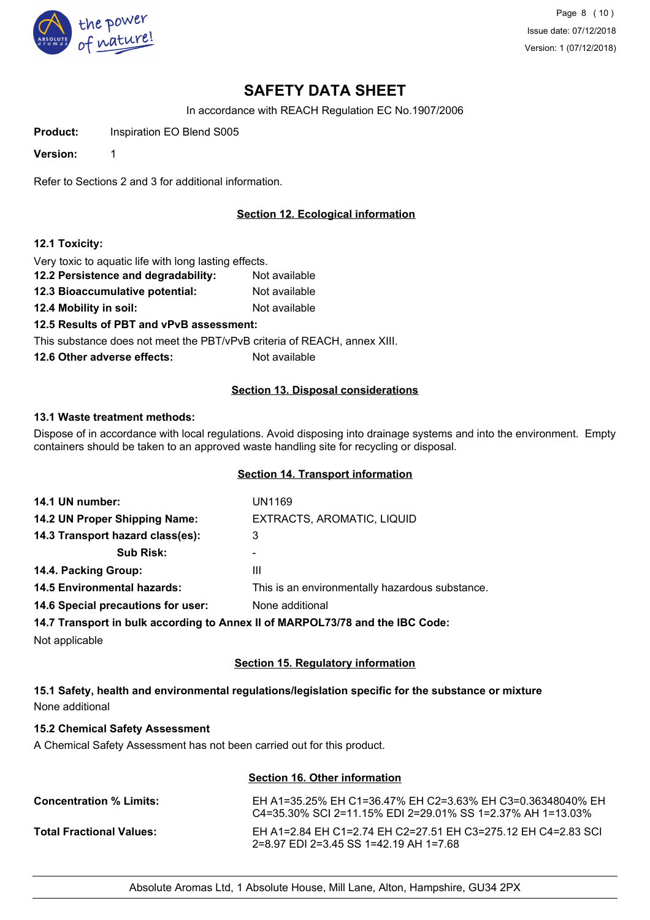

In accordance with REACH Regulation EC No.1907/2006

**Product:** Inspiration EO Blend S005

**Version:** 1

Refer to Sections 2 and 3 for additional information.

# **Section 12. Ecological information**

### **12.1 Toxicity:**

Very toxic to aquatic life with long lasting effects.

- **12.2 Persistence and degradability:** Not available
- **12.3 Bioaccumulative potential:** Not available
- **12.4 Mobility in soil:** Not available

**12.5 Results of PBT and vPvB assessment:**

This substance does not meet the PBT/vPvB criteria of REACH, annex XIII.

**12.6 Other adverse effects:** Not available

### **Section 13. Disposal considerations**

### **13.1 Waste treatment methods:**

Dispose of in accordance with local regulations. Avoid disposing into drainage systems and into the environment. Empty containers should be taken to an approved waste handling site for recycling or disposal.

## **Section 14. Transport information**

| 14.1 UN number:                    | UN1169                                                                         |
|------------------------------------|--------------------------------------------------------------------------------|
| 14.2 UN Proper Shipping Name:      | EXTRACTS, AROMATIC, LIQUID                                                     |
| 14.3 Transport hazard class(es):   | 3                                                                              |
| <b>Sub Risk:</b>                   |                                                                                |
| 14.4. Packing Group:               | Ш                                                                              |
| 14.5 Environmental hazards:        | This is an environmentally hazardous substance.                                |
| 14.6 Special precautions for user: | None additional                                                                |
|                                    | 14.7 Transport in bulk according to Anney II of MARPOL 73/78 and the IRC Code: |

**14.7 Transport in bulk according to Annex II of MARPOL73/78 and the IBC Code:**

Not applicable

### **Section 15. Regulatory information**

# **15.1 Safety, health and environmental regulations/legislation specific for the substance or mixture** None additional

### **15.2 Chemical Safety Assessment**

A Chemical Safety Assessment has not been carried out for this product.

| Section 16. Other information   |                                                                                                                             |  |
|---------------------------------|-----------------------------------------------------------------------------------------------------------------------------|--|
| <b>Concentration % Limits:</b>  | EH A1=35.25% EH C1=36.47% EH C2=3.63% EH C3=0.36348040% EH<br>$C$ 4=35.30% SCI 2=11.15% EDI 2=29.01% SS 1=2.37% AH 1=13.03% |  |
| <b>Total Fractional Values:</b> | EH A1=2.84 EH C1=2.74 EH C2=27.51 EH C3=275.12 EH C4=2.83 SCL<br>2=8.97 EDI 2=3.45 SS 1=42.19 AH 1=7.68                     |  |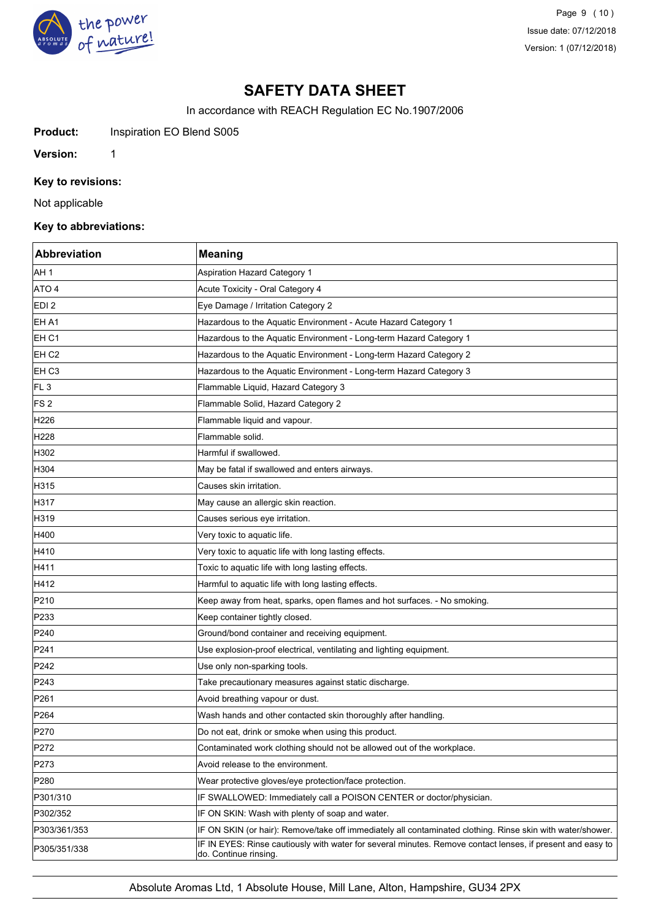

Page 9 (10) Issue date: 07/12/2018 Version: 1 (07/12/2018)

# **SAFETY DATA SHEET**

In accordance with REACH Regulation EC No.1907/2006

**Product:** Inspiration EO Blend S005

**Version:** 1

## **Key to revisions:**

Not applicable

## **Key to abbreviations:**

| <b>Abbreviation</b> | <b>Meaning</b>                                                                                                                      |
|---------------------|-------------------------------------------------------------------------------------------------------------------------------------|
| AH 1                | <b>Aspiration Hazard Category 1</b>                                                                                                 |
| ATO 4               | Acute Toxicity - Oral Category 4                                                                                                    |
| EDI 2               | Eye Damage / Irritation Category 2                                                                                                  |
| EH A1               | Hazardous to the Aquatic Environment - Acute Hazard Category 1                                                                      |
| EH C1               | Hazardous to the Aquatic Environment - Long-term Hazard Category 1                                                                  |
| EH <sub>C2</sub>    | Hazardous to the Aquatic Environment - Long-term Hazard Category 2                                                                  |
| EH <sub>C3</sub>    | Hazardous to the Aquatic Environment - Long-term Hazard Category 3                                                                  |
| FL <sub>3</sub>     | Flammable Liquid, Hazard Category 3                                                                                                 |
| FS <sub>2</sub>     | Flammable Solid, Hazard Category 2                                                                                                  |
| H226                | Flammable liquid and vapour.                                                                                                        |
| H228                | Flammable solid.                                                                                                                    |
| H302                | Harmful if swallowed.                                                                                                               |
| H304                | May be fatal if swallowed and enters airways.                                                                                       |
| H315                | Causes skin irritation.                                                                                                             |
| H317                | May cause an allergic skin reaction.                                                                                                |
| H319                | Causes serious eye irritation.                                                                                                      |
| H400                | Very toxic to aquatic life.                                                                                                         |
| H410                | Very toxic to aquatic life with long lasting effects.                                                                               |
| H411                | Toxic to aquatic life with long lasting effects.                                                                                    |
| H412                | Harmful to aquatic life with long lasting effects.                                                                                  |
| P210                | Keep away from heat, sparks, open flames and hot surfaces. - No smoking.                                                            |
| P233                | Keep container tightly closed.                                                                                                      |
| P240                | Ground/bond container and receiving equipment.                                                                                      |
| P241                | Use explosion-proof electrical, ventilating and lighting equipment.                                                                 |
| P242                | Use only non-sparking tools.                                                                                                        |
| P243                | Take precautionary measures against static discharge.                                                                               |
| P261                | Avoid breathing vapour or dust.                                                                                                     |
| P <sub>264</sub>    | Wash hands and other contacted skin thoroughly after handling.                                                                      |
| P270                | Do not eat, drink or smoke when using this product.                                                                                 |
| P272                | Contaminated work clothing should not be allowed out of the workplace.                                                              |
| P273                | Avoid release to the environment.                                                                                                   |
| P280                | Wear protective gloves/eye protection/face protection.                                                                              |
| P301/310            | IF SWALLOWED: Immediately call a POISON CENTER or doctor/physician.                                                                 |
| P302/352            | IF ON SKIN: Wash with plenty of soap and water.                                                                                     |
| P303/361/353        | IF ON SKIN (or hair): Remove/take off immediately all contaminated clothing. Rinse skin with water/shower.                          |
| P305/351/338        | IF IN EYES: Rinse cautiously with water for several minutes. Remove contact lenses, if present and easy to<br>do. Continue rinsing. |